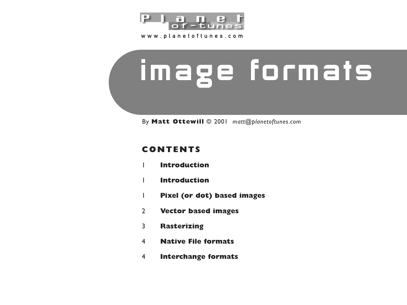

www.planetoftunes.com

# image formats

By **Matt Ottewill** © 2001 *matt@planetoftunes.com* 

## **CONTENTS**

- **Introduction**
- **Introduction**
- **Pixel (or dot) based images**
- **Vector based images**
- **Rasterizing**
- **Native File formats**
- **Interchange formats**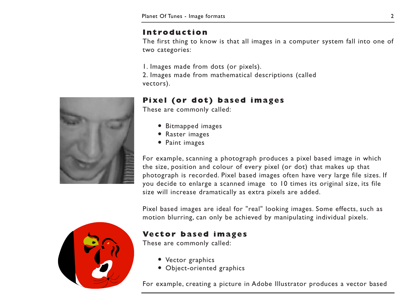### **Introduction**

The first thing to know is that all images in a computer system fall into one of two categories:

1. Images made from dots (or pixels). 2. Images made from mathematical descriptions (called vectors).

# **Pixel (or dot) based images**

These are commonly called:

- Bitmapped images
- Raster images
- Paint images

For example, scanning a photograph produces a pixel based image in which the size, position and colour of every pixel (or dot) that makes up that photograph is recorded. Pixel based images often have very large file sizes. If you decide to enlarge a scanned image to 10 times its original size, its file size will increase dramatically as extra pixels are added.

Pixel based images are ideal for "real" looking images. Some effects, such as motion blurring, can only be achieved by manipulating individual pixels.

#### **Vector based images**

These are commonly called:

- Vector graphics
- Object-oriented graphics

For example, creating a picture in Adobe Illustrator produces a vector based



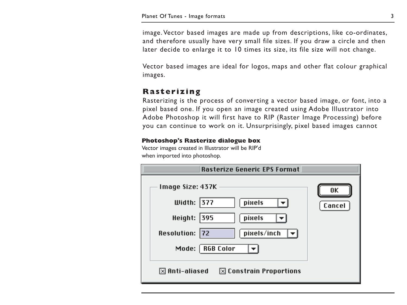image. Vector based images are made up from descriptions, like co-ordinates, and therefore usually have very small file sizes. If you draw a circle and then later decide to enlarge it to 10 times its size, its file size will not change.

Vector based images are ideal for logos, maps and other flat colour graphical images.

### **Rasterizing**

Rasterizing is the process of converting a vector based image, or font, into a pixel based one. If you open an image created using Adobe Illustrator into Adobe Photoshop it will first have to RIP (Raster Image Processing) before you can continue to work on it. Unsurprisingly, pixel based images cannot

#### **Photoshop's Rasterize dialogue box**

Vector images created in Illustrator will be RIP'd when imported into photoshop.

| <b>Rasterize Generic EPS Format</b>                        |        |
|------------------------------------------------------------|--------|
| Image Size: 437K                                           | 0K     |
| Width: $377$<br>pixels                                     | Cancel |
| Height: 395<br>pixels                                      |        |
| Resolution: 72<br>pixels/inch                              |        |
| RGB Color<br>Mode:                                         |        |
| $\boxtimes$ Anti-aliased $\boxtimes$ Constrain Proportions |        |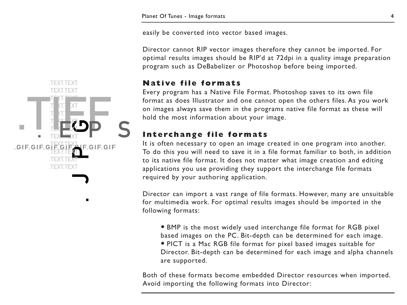easily be converted into vector based images.

Director cannot RIP vector images therefore they cannot be imported. For optimal results images should be RIP'd at 72dpi in a quality image preparation program such as DeBabelizer or Photoshop before being imported.

#### **Native file formats**

Every program has a Native File Format. Photoshop saves to its own file format as does Illustrator and one cannot open the others files. As you work on images always save them in the programs native file format as these will hold the most information about your image.

## **Interchange file formats**

It is often necessary to open an image created in one program into another. To do this you will need to save it in a file format familiar to both, in addition to its native file format. It does not matter what image creation and editing applications you use providing they support the interchange file formats required by your authoring application.

Director can import a vast range of file formats. However, many are unsuitable for multimedia work. For optimal results images should be imported in the following formats:

• BMP is the most widely used interchange file format for RGB pixel based images on the PC. Bit-depth can be determined for each image. • PICT is a Mac RGB file format for pixel based images suitable for Director. Bit-depth can be determined for each image and alpha channels are supported.

Both of these formats become embedded Director resources when imported. Avoid importing the following formats into Director:

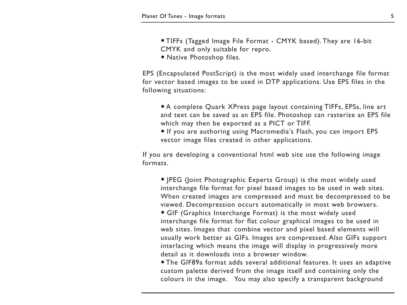- TIFFs (Tagged Image File Format CMYK based). They are 16-bit CMYK and only suitable for repro.
- Native Photoshop files.

EPS (Encapsulated PostScript) is the most widely used interchange file format for vector based images to be used in DTP applications. Use EPS files in the following situations:

- A complete Quark XPress page layout containing TIFFs, EPSs, line art and text can be saved as an EPS file. Photoshop can rasterize an EPS file which may then be exported as a PICT or TIFF.
- If you are authoring using Macromedia's Flash, you can import EPS vector image files created in other applications.

If you are developing a conventional html web site use the following image formats.

• JPEG (Joint Photographic Experts Group) is the most widely used interchange file format for pixel based images to be used in web sites. When created images are compressed and must be decompressed to be viewed. Decompression occurs automatically in most web browsers.

• GIF (Graphics Interchange Format) is the most widely used interchange file format for flat colour graphical images to be used in web sites. Images that combine vector and pixel based elements will usually work better as GIFs. Images are compressed. Also GIFs support interlacing which means the image will display in progressively more detail as it downloads into a browser window.

• The GIF89a format adds several additional features. It uses an adaptive custom palette derived from the image itself and containing only the colours in the image. You may also specify a transparent background